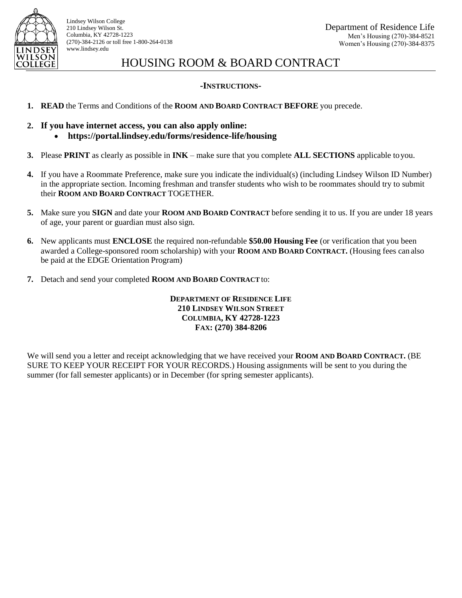

Lindsey Wilson College 210 Lindsey Wilson St. Columbia, KY 42728-1223 (270)-384-2126 or toll free 1-800-264-0138 [www.lindsey.edu](http://www.lindsey.edu/)

# HOUSING ROOM & BOARD CONTRACT

# **-INSTRUCTIONS-**

- **1. READ** the Terms and Conditions of the **ROOM AND BOARD CONTRACT BEFORE** you precede.
- **2. If you have internet access, you can also apply online: https://portal.lindsey.edu/forms/residence-life/housing**
- **3.** Please **PRINT** as clearly as possible in **INK**  make sure that you complete **ALL SECTIONS** applicable toyou.
- **4.** If you have a Roommate Preference, make sure you indicate the individual(s) (including Lindsey Wilson ID Number) in the appropriate section. Incoming freshman and transfer students who wish to be roommates should try to submit their **ROOM AND BOARD CONTRACT** TOGETHER.
- **5.** Make sure you **SIGN** and date your **ROOM AND BOARD CONTRACT** before sending it to us. If you are under 18 years of age, your parent or guardian must also sign.
- **6.** New applicants must **ENCLOSE** the required non-refundable **\$50.00 Housing Fee** (or verification that you been awarded a College-sponsored room scholarship) with your **ROOM AND BOARD CONTRACT.** (Housing fees can also be paid at the EDGE Orientation Program)
- **7.** Detach and send your completed **ROOM AND BOARD CONTRACT** to:

# **DEPARTMENT OF RESIDENCE LIFE 210 LINDSEY WILSON STREET COLUMBIA, KY 42728-1223 FAX: (270) 384-8206**

We will send you a letter and receipt acknowledging that we have received your **ROOM AND BOARD CONTRACT.** (BE SURE TO KEEP YOUR RECEIPT FOR YOUR RECORDS.) Housing assignments will be sent to you during the summer (for fall semester applicants) or in December (for spring semester applicants).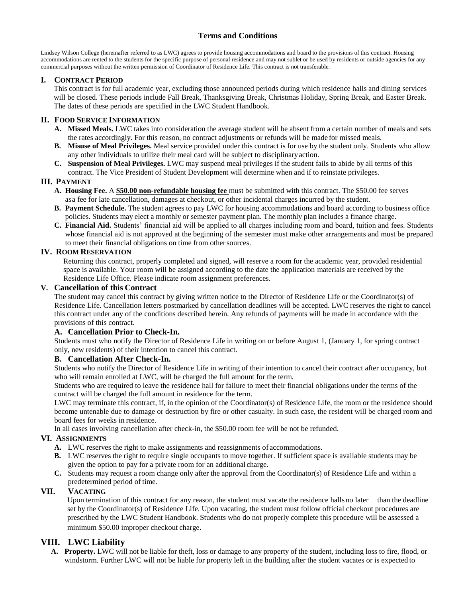# **Terms and Conditions**

Lindsey Wilson College (hereinafter referred to as LWC) agrees to provide housing accommodations and board to the provisions of this contract. Housing accommodations are rented to the students for the specific purpose of personal residence and may not sublet or be used by residents or outside agencies for any commercial purposes without the written permission of Coordinator of Residence Life. This contract is not transferable.

#### **I. CONTRACT PERIOD**

This contract is for full academic year, excluding those announced periods during which residence halls and dining services will be closed. These periods include Fall Break, Thanksgiving Break, Christmas Holiday, Spring Break, and Easter Break. The dates of these periods are specified in the LWC Student Handbook.

#### **II. FOOD SERVICE INFORMATION**

- **A. Missed Meals.** LWC takes into consideration the average student will be absent from a certain number of meals and sets the rates accordingly. For this reason, no contract adjustments or refunds will be made for missed meals.
- **B. Misuse of Meal Privileges.** Meal service provided under this contract is for use by the student only. Students who allow any other individuals to utilize their meal card will be subject to disciplinaryaction.
- **C. Suspension of Meal Privileges.** LWC may suspend meal privileges if the student fails to abide by all terms of this contract. The Vice President of Student Development will determine when and if to reinstate privileges.

#### **III. PAYMENT**

- **A. Housing Fee.** A **\$50.00 non-refundable housing fee** must be submitted with this contract. The \$50.00 fee serves asa fee for late cancellation, damages at checkout, or other incidental charges incurred by the student.
- **B. Payment Schedule.** The student agrees to pay LWC for housing accommodations and board according to business office policies. Students may elect a monthly or semester payment plan. The monthly plan includes a finance charge.
- **C. Financial Aid.** Students' financial aid will be applied to all charges including room and board, tuition and fees. Students whose financial aid is not approved at the beginning of the semester must make other arrangements and must be prepared to meet their financial obligations on time from other sources.

#### **IV. ROOM RESERVATION**

Returning this contract, properly completed and signed, will reserve a room for the academic year, provided residential space is available. Your room will be assigned according to the date the application materials are received by the Residence Life Office. Please indicate room assignment preferences.

#### **V. Cancellation of this Contract**

The student may cancel this contract by giving written notice to the Director of Residence Life or the Coordinator(s) of Residence Life. Cancellation letters postmarked by cancellation deadlines will be accepted. LWC reserves the right to cancel this contract under any of the conditions described herein. Any refunds of payments will be made in accordance with the provisions of this contract.

#### **A. Cancellation Prior to Check-In.**

Students must who notify the Director of Residence Life in writing on or before August 1, (January 1, for spring contract only, new residents) of their intention to cancel this contract.

#### **B. Cancellation After Check-In.**

Students who notify the Director of Residence Life in writing of their intention to cancel their contract after occupancy, but who will remain enrolled at LWC, will be charged the full amount for the term.

Students who are required to leave the residence hall for failure to meet their financial obligations under the terms of the contract will be charged the full amount in residence for the term.

LWC may terminate this contract, if, in the opinion of the Coordinator(s) of Residence Life, the room or the residence should become untenable due to damage or destruction by fire or other casualty. In such case, the resident will be charged room and board fees for weeks in residence.

In all cases involving cancellation after check-in, the \$50.00 room fee will be not be refunded.

# **VI. ASSIGNMENTS**

- **A.** LWC reserves the right to make assignments and reassignments of accommodations.
- **B.** LWC reserves the right to require single occupants to move together. If sufficient space is available students may be given the option to pay for a private room for an additional charge.
- **C.** Students may request a room change only after the approval from the Coordinator(s) of Residence Life and within a predetermined period of time.

#### **VII. VACATING**

Upon termination of this contract for any reason, the student must vacate the residence halls no later than the deadline set by the Coordinator(s) of Residence Life. Upon vacating, the student must follow official checkout procedures are prescribed by the LWC Student Handbook. Students who do not properly complete this procedure will be assessed a minimum \$50.00 improper checkout charge.

# **VIII. LWC Liability**

**A. Property.** LWC will not be liable for theft, loss or damage to any property of the student, including loss to fire, flood, or windstorm. Further LWC will not be liable for property left in the building after the student vacates or is expected to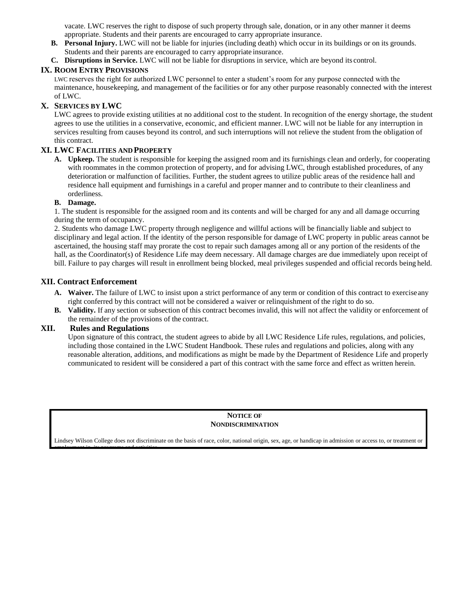vacate. LWC reserves the right to dispose of such property through sale, donation, or in any other manner it deems appropriate. Students and their parents are encouraged to carry appropriate insurance.

- **B. Personal Injury.** LWC will not be liable for injuries (including death) which occur in its buildings or on its grounds. Students and their parents are encouraged to carry appropriate insurance.
- **C. Disruptions in Service.** LWC will not be liable for disruptions in service, which are beyond its control.

#### **IX. ROOM ENTRY PROVISIONS**

LWC reserves the right for authorized LWC personnel to enter a student's room for any purpose connected with the maintenance, housekeeping, and management of the facilities or for any other purpose reasonably connected with the interest of LWC.

# **X. SERVICES BY LWC**

LWC agrees to provide existing utilities at no additional cost to the student. In recognition of the energy shortage, the student agrees to use the utilities in a conservative, economic, and efficient manner. LWC will not be liable for any interruption in services resulting from causes beyond its control, and such interruptions will not relieve the student from the obligation of this contract.

#### **XI. LWC FACILITIES AND PROPERTY**

**A. Upkeep.** The student is responsible for keeping the assigned room and its furnishings clean and orderly, for cooperating with roommates in the common protection of property, and for advising LWC, through established procedures, of any deterioration or malfunction of facilities. Further, the student agrees to utilize public areas of the residence hall and residence hall equipment and furnishings in a careful and proper manner and to contribute to their cleanliness and orderliness.

#### **B. Damage.**

1. The student is responsible for the assigned room and its contents and will be charged for any and all damage occurring during the term of occupancy.

2. Students who damage LWC property through negligence and willful actions will be financially liable and subject to disciplinary and legal action. If the identity of the person responsible for damage of LWC property in public areas cannot be ascertained, the housing staff may prorate the cost to repair such damages among all or any portion of the residents of the hall, as the Coordinator(s) of Residence Life may deem necessary. All damage charges are due immediately upon receipt of bill. Failure to pay charges will result in enrollment being blocked, meal privileges suspended and official records being held.

#### **XII. Contract Enforcement**

- **A. Waiver.** The failure of LWC to insist upon a strict performance of any term or condition of this contract to exerciseany right conferred by this contract will not be considered a waiver or relinquishment of the right to do so.
- **B. Validity.** If any section or subsection of this contract becomes invalid, this will not affect the validity or enforcement of the remainder of the provisions of the contract.

#### **XII. Rules and Regulations**

employment in, its programs and activities.

Upon signature of this contract, the student agrees to abide by all LWC Residence Life rules, regulations, and policies, including those contained in the LWC Student Handbook. These rules and regulations and policies, along with any reasonable alteration, additions, and modifications as might be made by the Department of Residence Life and properly communicated to resident will be considered a part of this contract with the same force and effect as written herein.

#### **NOTICE OF NONDISCRIMINATION**

Lindsey Wilson College does not discriminate on the basis of race, color, national origin, sex, age, or handicap in admission or access to, or treatment or